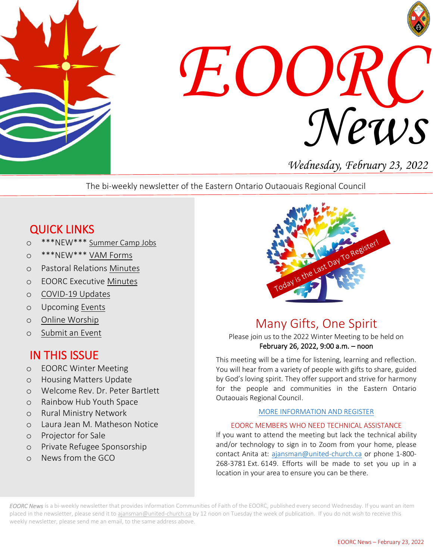



*Wednesday, February 23, 2022*

The bi-weekly newsletter of the Eastern Ontario Outaouais Regional Council

# QUICK LINKS

- o \*\*\*NEW\*\*\* [Summer Camp Jobs](https://eoorc.ca/about-us/careers-volunteer-opportunities-2/)
- o \*\*\*NEW\*\*\* [VAM Forms](https://eoorc.ca/resources/forms/)
- o Pastoral Relations [Minutes](https://eoorc.ca/ministries/pastoral-relations/)
- o EOORC Executive [Minutes](https://eoorc.ca/about-us/governance/)
- o [COVID-19 Updates](https://eoorc.ca/resources/covid-19/)
- o Upcoming [Events](https://eoorc.ca/events/)
- o [Online Worship](https://eoorc.ca/resources/online-worship/)
- o [Submit](https://eoorc.ca/events/community/add) an Event

## IN THIS ISSUE

- o EOORC Winter Meeting
- o Housing Matters Update
- o Welcome Rev. Dr. Peter Bartlett
- o Rainbow Hub Youth Space
- o Rural Ministry Network
- o Laura Jean M. Matheson Notice
- o Projector for Sale
- o Private Refugee Sponsorship
- o News from the GCO



# Many Gifts, One Spirit

Please join us to the 2022 Winter Meeting to be held on February 26, 2022, 9:00 a.m. – noon

This meeting will be a time for listening, learning and reflection. You will hear from a variety of people with gifts to share, guided by God's loving spirit. They offer support and strive for harmony for the people and communities in the Eastern Ontario Outaouais Regional Council.

#### [MORE INFORMATION AND REGISTER](https://eoorc.ca/2022-eoorc-winter-meeting/)

#### EOORC MEMBERS WHO NEED TECHNICAL ASSISTANCE

 268-3781 Ext. 6149. Efforts will be made to set you up in a location in your area to ensure you can be there.If you want to attend the meeting but lack the technical ability and/or technology to sign in to Zoom from your home, please contact Anita at: [ajansman@united-church.ca](mailto:ajansman@united-church.ca) or phone 1-800-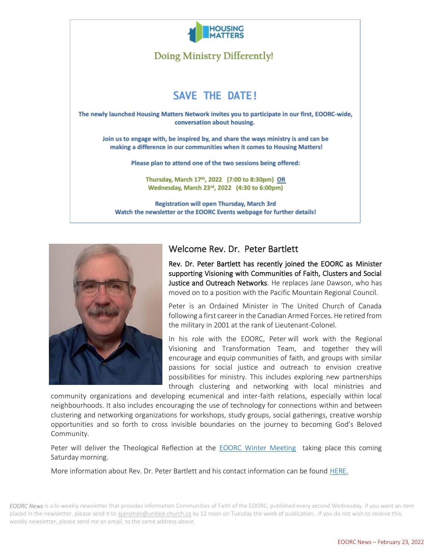

Doing Ministry Differently!

## **SAVE THE DATE!**

The newly launched Housing Matters Network invites you to participate in our first, EOORC-wide, conversation about housing.

Join us to engage with, be inspired by, and share the ways ministry is and can be making a difference in our communities when it comes to Housing Matters!

Please plan to attend one of the two sessions being offered:

Thursday, March 17th, 2022 (7:00 to 8:30pm) OR Wednesday, March 23rd, 2022 (4:30 to 6:00pm)

Registration will open Thursday, March 3rd Watch the newsletter or the EOORC Events webpage for further details!



#### Welcome Rev. Dr. Peter Bartlett

Rev. Dr. Peter Bartlett has recently joined the EOORC as Minister supporting Visioning with Communities of Faith, Clusters and Social Justice and Outreach Networks. He replaces Jane Dawson, who has moved on to a position with the Pacific Mountain Regional Council.

Peter is an Ordained Minister in The United Church of Canada following a first career in the Canadian Armed Forces. He retired from the military in 2001 at the rank of Lieutenant-Colonel.

In his role with the EOORC, Peter will work with the Regional Visioning and Transformation Team, and together they will encourage and equip communities of faith, and groups with similar passions for social justice and outreach to envision creative possibilities for ministry. This includes exploring new partnerships through clustering and networking with local ministries and

community organizations and developing ecumenical and inter-faith relations, especially within local neighbourhoods. It also includes encouraging the use of technology for connections within and between clustering and networking organizations for workshops, study groups, social gatherings, creative worship opportunities and so forth to cross invisible boundaries on the journey to becoming God's Beloved Community.

Peter will deliver the Theological Reflection at the [EOORC Winter Meeting](https://eoorc.ca/2022-eoorc-winter-meeting/) taking place this coming Saturday morning.

More information about Rev. Dr. Peter Bartlett and his contact information can be found [HERE.](https://eoorc.ca/about-us/staff/peter-bartlett/)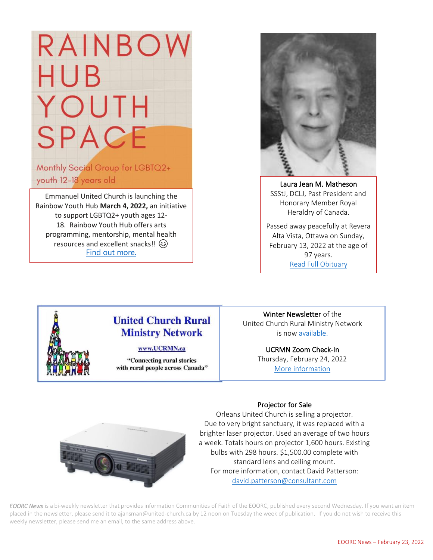# RAINBOV HUB. YOUTH **SPACE**

Monthly Social Group for LGBTQ2+ youth 12-18 years old

Emmanuel United Church is launching the Rainbow Youth Hub **March 4, 2022,** an initiative to support LGBTQ2+ youth ages 12- 18. Rainbow Youth Hub offers arts programming, mentorship, mental health resources and excellent snacks!! (3) Find out [more.](https://eoorc.ca/event/rainbow-youth-hub/)  $\overline{a}$ 



Laura Jean M. Matheson SSStJ, DCLJ, Past President and Honorary Member Royal Heraldry of Canada.

Passed away peacefully at Revera Alta Vista, Ottawa on Sunday, February 13, 2022 at the age of 97 years. [Read Full Obituary](https://ottawacitizen.remembering.ca/obituary/jean-matheson-1084445000)

ֺ֘



### **United Church Rural Ministry Network**

#### www.UCRMN.ca

"Connecting rural stories" with rural people across Canada"

Winter Newsletter of the United Church Rural Ministry Network is no[w available.](https://mailchi.mp/403cf9e6d554/summer-newsletter-from-ucrmn-11406678?e=e75cce5971)

> UCRMN Zoom Check-In Thursday, February 24, 2022 [More information](https://mailchi.mp/33be4dc5c49c/summer-newsletter-from-ucrmn-11416434?e=e75cce5971)





Orleans United Church is selling a projector. Due to very bright sanctuary, it was replaced with a brighter laser projector. Used an average of two hours a week. Totals hours on projector 1,600 hours. Existing bulbs with 298 hours. \$1,500.00 complete with standard lens and ceiling mount. For more information, contact David Patterson: [david.patterson@consultant.com](mailto:david.patterson@consultant.com)